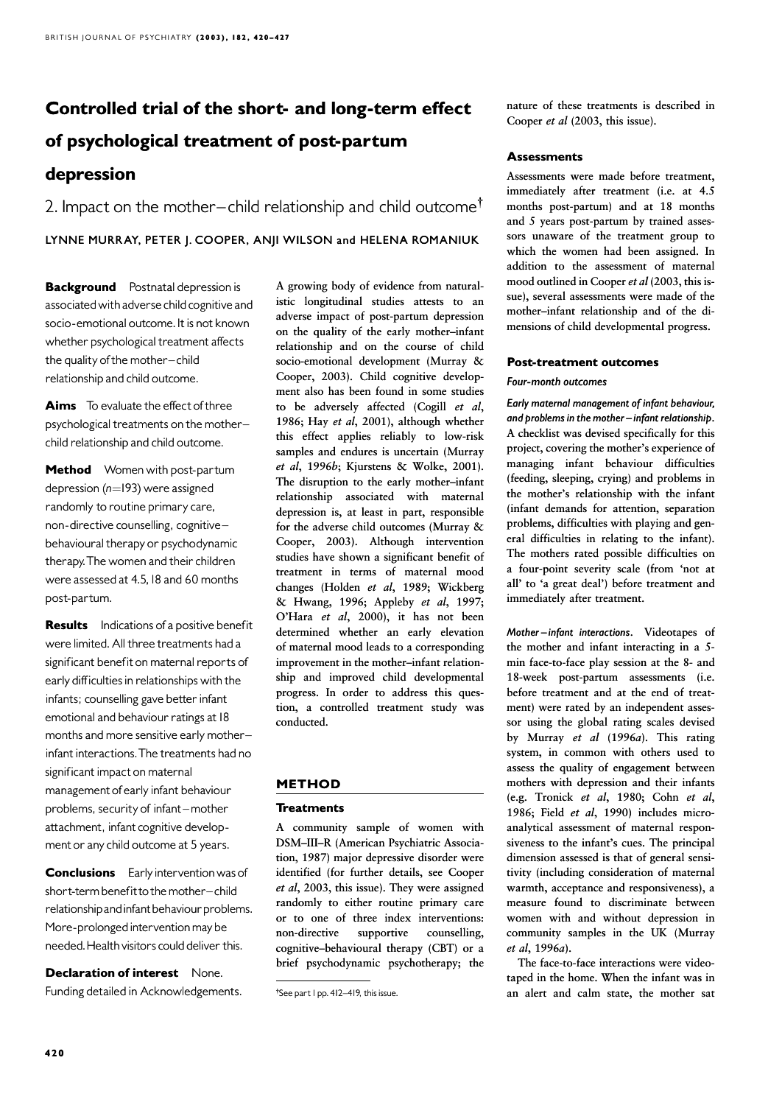# Controlled trial of the short- and long-term effect of psychological treatment of post-partum depression

2. Impact on the mother-child relationship and child outcome<sup> $\dagger$ </sup> LYNNE MURRAY, PETER J. COOPER, ANJI WILSON and HELENA ROMANIUK

**Background** Postnatal depression is associatedwith adverse child cognitive and socio-emotional outcome. It is not known whether psychological treatment affects the quality of the mother-child relationship and child outcome.

Aims To evaluate the effect of three psychological treatments on the mother^ child relationship and child outcome.

Method Women with post-partum depression ( $n=193$ ) were assigned randomly to routine primary care, non-directive counselling, cognitive ^ behavioural therapy or psychodynamic therapy. The women and their children were assessed at 4.5,18 and 60 months post-partum.

**Results** Indications of a positive benefit were limited. All three treatments had a significant benefit on maternal reports of early difficulties in relationships with the infants; counselling gave better infant emotional and behaviour ratings at 18 months and more sensitive early motherinfant interactions. The treatments had no significant impact on maternal management of early infant behaviour problems, security of infant-mother attachment, infant cognitive development or any child outcome at 5 years.

**Conclusions** Early intervention was of short-term benefit to the mother-child relationship and infant behaviour problems. More-prolonged intervention may be needed.Healthvisitors could deliver this.

Declaration of interest None. Funding detailed in Acknowledgements. A growing body of evidence from naturalistic longitudinal studies attests to an adverse impact of post-partum depression on the quality of the early mother–infant relationship and on the course of child socio-emotional development (Murray & Cooper, 2003). Child cognitive development also has been found in some studies to be adversely affected (Cogill et al, 1986; Hay et al, 2001), although whether this effect applies reliably to low-risk samples and endures is uncertain (Murray et al, 1996b; Kjurstens & Wolke, 2001). The disruption to the early mother–infant relationship associated with maternal depression is, at least in part, responsible for the adverse child outcomes (Murray & Cooper, 2003). Although intervention studies have shown a significant benefit of treatment in terms of maternal mood changes (Holden et al, 1989; Wickberg & Hwang, 1996; Appleby et al, 1997; O'Hara et al, 2000), it has not been determined whether an early elevation of maternal mood leads to a corresponding improvement in the mother–infant relationship and improved child developmental progress. In order to address this question, a controlled treatment study was conducted.

## METHOD

## **Treatments**

A community sample of women with DSM–III–R (American Psychiatric Association, 1987) major depressive disorder were identified (for further details, see Cooper et al, 2003, this issue). They were assigned randomly to either routine primary care or to one of three index interventions: non-directive supportive counselling, cognitive–behavioural therapy (CBT) or a brief psychodynamic psychotherapy; the

nature of these treatments is described in Cooper et al (2003, this issue).

## **Assessments**

Assessments were made before treatment, immediately after treatment (i.e. at 4.5 months post-partum) and at 18 months and 5 years post-partum by trained assessors unaware of the treatment group to which the women had been assigned. In addition to the assessment of maternal mood outlined in Cooper et al (2003, this issue), several assessments were made of the mother–infant relationship and of the dimensions of child developmental progress.

## Post-treatment outcomes

## Four-month outcomes

Early maternal management of infant behaviour, and problems in the mother  $-i$ nfant relationship. A checklist was devised specifically for this project, covering the mother's experience of managing infant behaviour difficulties (feeding, sleeping, crying) and problems in the mother's relationship with the infant (infant demands for attention, separation problems, difficulties with playing and general difficulties in relating to the infant). The mothers rated possible difficulties on a four-point severity scale (from 'not at all' to 'a great deal') before treatment and immediately after treatment.

Mother-infant interactions. Videotapes of the mother and infant interacting in a 5 min face-to-face play session at the 8- and 18-week post-partum assessments (i.e. before treatment and at the end of treatment) were rated by an independent assessor using the global rating scales devised by Murray et al (1996a). This rating system, in common with others used to assess the quality of engagement between mothers with depression and their infants (e.g. Tronick et al, 1980; Cohn et al, 1986; Field et al, 1990) includes microanalytical assessment of maternal responsiveness to the infant's cues. The principal dimension assessed is that of general sensitivity (including consideration of maternal warmth, acceptance and responsiveness), a measure found to discriminate between women with and without depression in community samples in the UK (Murray et al, 1996a).

The face-to-face interactions were videotaped in the home. When the infant was in an alert and calm state, the mother sat

<sup>&</sup>lt;sup>†</sup>See part I pp. 412-419, this issue.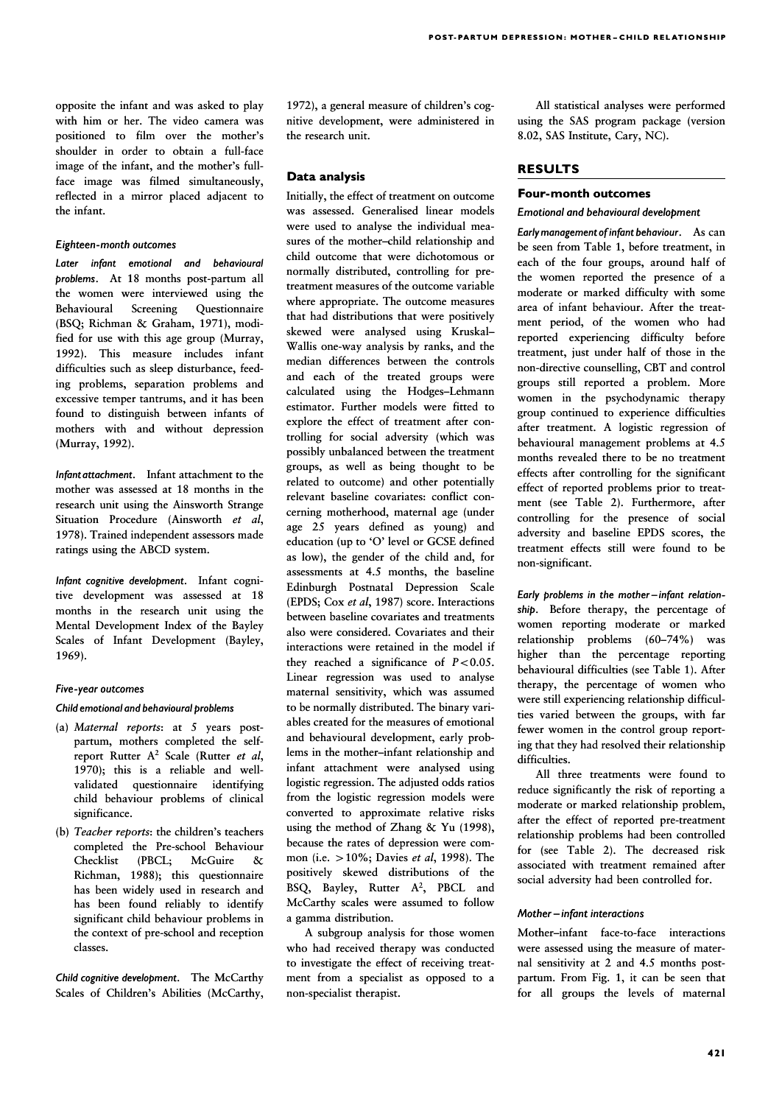opposite the infant and was asked to play with him or her. The video camera was positioned to film over the mother's shoulder in order to obtain a full-face image of the infant, and the mother's fullface image was filmed simultaneously, reflected in a mirror placed adjacent to the infant.

#### Eighteen-month outcomes Eighteen-month

Later infant emotional and behavioural problems. At 18 months post-partum all the women were interviewed using the Behavioural Screening Questionnaire (BSQ; Richman & Graham, 1971), modified for use with this age group (Murray, 1992). This measure includes infant difficulties such as sleep disturbance, feeding problems, separation problems and excessive temper tantrums, and it has been found to distinguish between infants of mothers with and without depression (Murray, 1992).

Infant attachment. Infant attachment to the mother was assessed at 18 months in the research unit using the Ainsworth Strange Situation Procedure (Ainsworth et al, 1978). Trained independent assessors made ratings using the ABCD system.

Infant cognitive development. Infant cognitive development was assessed at 18 months in the research unit using the Mental Development Index of the Bayley Scales of Infant Development (Bayley, 1969).

## Five-year outcomes

#### Child emotional and behavioural problems

- (a) Maternal reports: at 5 years postpartum, mothers completed the selfreport Rutter  $A^2$  Scale (Rutter *et al.* 1970); this is a reliable and wellvalidated questionnaire identifying child behaviour problems of clinical significance.
- (b) Teacher reports: the children's teachers completed the Pre-school Behaviour Checklist (PBCL; McGuire & Richman, 1988); this questionnaire has been widely used in research and has been found reliably to identify significant child behaviour problems in the context of pre-school and reception classes.

Child cognitive development. The McCarthy Scales of Children's Abilities (McCarthy, 1972), a general measure of children's cognitive development, were administered in the research unit.

## Data analysis

Initially, the effect of treatment on outcome was assessed. Generalised linear models were used to analyse the individual measures of the mother–child relationship and child outcome that were dichotomous or normally distributed, controlling for pretreatment measures of the outcome variable where appropriate. The outcome measures that had distributions that were positively skewed were analysed using Kruskal– Wallis one-way analysis by ranks, and the median differences between the controls and each of the treated groups were calculated using the Hodges–Lehmann estimator. Further models were fitted to explore the effect of treatment after controlling for social adversity (which was possibly unbalanced between the treatment groups, as well as being thought to be related to outcome) and other potentially relevant baseline covariates: conflict concerning motherhood, maternal age (under age 25 years defined as young) and education (up to 'O' level or GCSE defined as low), the gender of the child and, for assessments at 4.5 months, the baseline Edinburgh Postnatal Depression Scale (EPDS; Cox et al, 1987) score. Interactions between baseline covariates and treatments also were considered. Covariates and their interactions were retained in the model if they reached a significance of  $P < 0.05$ . Linear regression was used to analyse maternal sensitivity, which was assumed to be normally distributed. The binary variables created for the measures of emotional and behavioural development, early problems in the mother–infant relationship and infant attachment were analysed using logistic regression. The adjusted odds ratios from the logistic regression models were converted to approximate relative risks using the method of Zhang & Yu (1998), because the rates of depression were common (i.e.  $>10\%$ ; Davies *et al*, 1998). The positively skewed distributions of the BSQ, Bayley, Rutter A<sup>2</sup>, PBCL and McCarthy scales were assumed to follow a gamma distribution.

A subgroup analysis for those women who had received therapy was conducted to investigate the effect of receiving treatment from a specialist as opposed to a non-specialist therapist.

All statistical analyses were performed using the SAS program package (version 8.02, SAS Institute, Cary, NC).

## RESULTS

#### Four-month outcomes

#### Emotional and behavioural development Emotional

Earlymanagement ofinfant behaviour. As can be seen from Table 1, before treatment, in each of the four groups, around half of the women reported the presence of a moderate or marked difficulty with some area of infant behaviour. After the treatment period, of the women who had reported experiencing difficulty before treatment, just under half of those in the non-directive counselling, CBT and control groups still reported a problem. More women in the psychodynamic therapy group continued to experience difficulties after treatment. A logistic regression of behavioural management problems at 4.5 months revealed there to be no treatment effects after controlling for the significant effect of reported problems prior to treatment (see Table 2). Furthermore, after controlling for the presence of social adversity and baseline EPDS scores, the treatment effects still were found to be non-significant.

Early problems in the mother-infant relationship. Before therapy, the percentage of women reporting moderate or marked relationship problems (60–74%) was higher than the percentage reporting behavioural difficulties (see Table 1). After therapy, the percentage of women who were still experiencing relationship difficulties varied between the groups, with far fewer women in the control group reporting that they had resolved their relationship difficulties.

All three treatments were found to reduce significantly the risk of reporting a moderate or marked relationship problem, after the effect of reported pre-treatment relationship problems had been controlled for (see Table 2). The decreased risk associated with treatment remained after social adversity had been controlled for.

#### $Mother -infant$  interactions

Mother–infant face-to-face interactions were assessed using the measure of maternal sensitivity at 2 and 4.5 months postpartum. From Fig. 1, it can be seen that for all groups the levels of maternal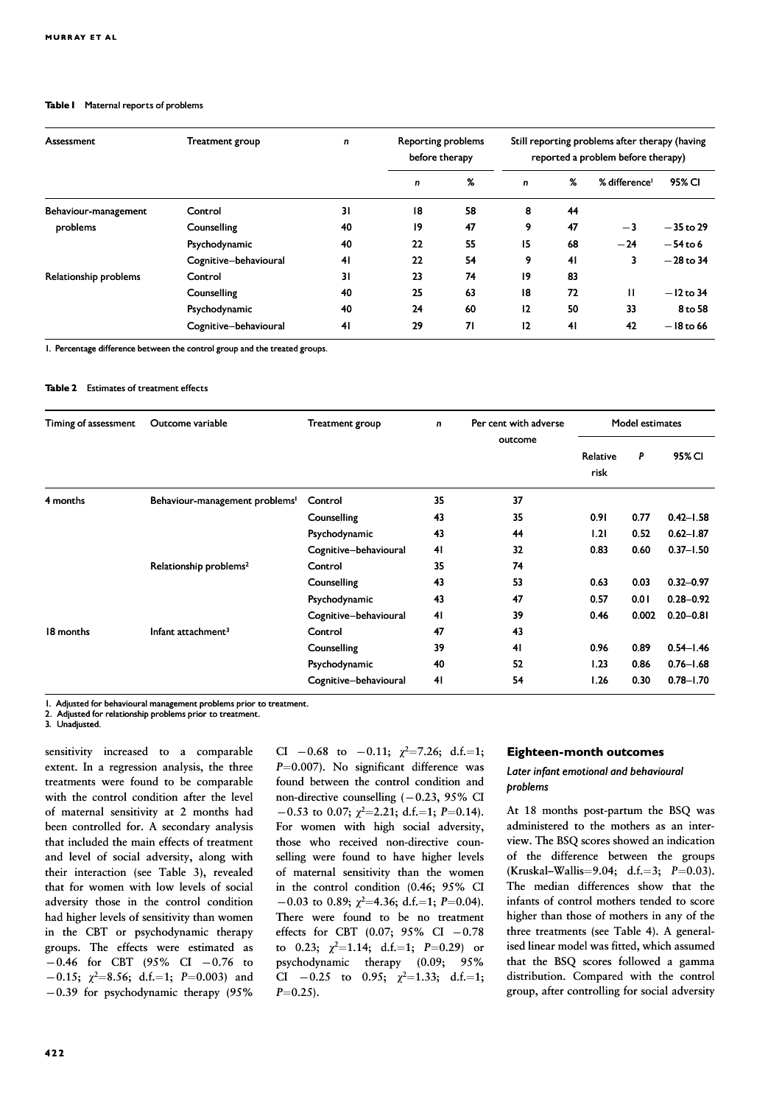#### Table I Maternal reports of problems

| Assessment            | Treatment group       | n  | <b>Reporting problems</b><br>before therapy |    | Still reporting problems after therapy (having<br>reported a problem before therapy) |    |                           |             |  |
|-----------------------|-----------------------|----|---------------------------------------------|----|--------------------------------------------------------------------------------------|----|---------------------------|-------------|--|
|                       |                       |    | $\mathbf n$                                 | %  | $\mathbf n$                                                                          | %  | % difference <sup>1</sup> | 95% CI      |  |
| Behaviour-management  | Control               | 31 | 18                                          | 58 | 8                                                                                    | 44 |                           |             |  |
| problems              | Counselling           | 40 | $\overline{19}$                             | 47 | 9                                                                                    | 47 | $-3$                      | $-35$ to 29 |  |
|                       | Psychodynamic         | 40 | 22                                          | 55 | 15                                                                                   | 68 | $-24$                     | $-54$ to 6  |  |
|                       | Cognitive-behavioural | 41 | 22                                          | 54 | 9                                                                                    | 41 | 3                         | $-28$ to 34 |  |
| Relationship problems | Control               | 31 | 23                                          | 74 | 19                                                                                   | 83 |                           |             |  |
|                       | Counselling           | 40 | 25                                          | 63 | 18                                                                                   | 72 | $\mathbf{H}$              | $-12$ to 34 |  |
|                       | Psychodynamic         | 40 | 24                                          | 60 | 12                                                                                   | 50 | 33                        | 8 to 58     |  |
|                       | Cognitive-behavioural | 41 | 29                                          | 71 | 12                                                                                   | 41 | 42                        | $-18$ to 66 |  |

1. Percentage difference between the control group and the treated groups.

#### Table 2 Estimates of treatment effects

| Timing of assessment | Outcome variable                           | Treatment group       | n  | Per cent with adverse | Model estimates  |       |               |
|----------------------|--------------------------------------------|-----------------------|----|-----------------------|------------------|-------|---------------|
|                      |                                            |                       |    | outcome               | Relative<br>risk | P     | 95% CI        |
| 4 months             | Behaviour-management problems <sup>1</sup> | Control               | 35 | 37                    |                  |       |               |
|                      |                                            | Counselling           | 43 | 35                    | 0.91             | 0.77  | $0.42 - 1.58$ |
|                      |                                            | Psychodynamic         | 43 | 44                    | 1.21             | 0.52  | $0.62 - 1.87$ |
|                      |                                            | Cognitive-behavioural | 41 | 32                    | 0.83             | 0.60  | $0.37 - 1.50$ |
|                      | Relationship problems <sup>2</sup>         | Control               | 35 | 74                    |                  |       |               |
|                      |                                            | Counselling           | 43 | 53                    | 0.63             | 0.03  | $0.32 - 0.97$ |
|                      |                                            | Psychodynamic         | 43 | 47                    | 0.57             | 0.01  | $0.28 - 0.92$ |
|                      |                                            | Cognitive-behavioural | 41 | 39                    | 0.46             | 0.002 | $0.20 - 0.81$ |
| 18 months            | Infant attachment <sup>3</sup>             | Control               | 47 | 43                    |                  |       |               |
|                      |                                            | Counselling           | 39 | 41                    | 0.96             | 0.89  | $0.54 - 1.46$ |
|                      |                                            | Psychodynamic         | 40 | 52                    | 1.23             | 0.86  | $0.76 - 1.68$ |
|                      |                                            | Cognitive-behavioural | 41 | 54                    | 1.26             | 0.30  | $0.78 - 1.70$ |

1. Adjusted for behavioural management problems prior to treatment.

2. Adjusted for relationship problems prior to treatment.

3. Unadjusted.

sensitivity increased to a comparable extent. In a regression analysis, the three treatments were found to be comparable with the control condition after the level of maternal sensitivity at 2 months had been controlled for. A secondary analysis that included the main effects of treatment and level of social adversity, along with their interaction (see Table 3), revealed that for women with low levels of social adversity those in the control condition had higher levels of sensitivity than women in the CBT or psychodynamic therapy groups. The effects were estimated as  $-0.46$  for CBT (95% CI  $-0.76$  to  $-0.15$ ;  $\chi^2 = 8.56$ ; d.f.=1; P=0.003) and  $-0.39$  for psychodynamic therapy (95%

CI  $-0.68$  to  $-0.11$ ;  $\chi^2 = 7.26$ ; d.f.=1;  $P=0.007$ ). No significant difference was found between the control condition and non-directive counselling  $(-0.23, 95\%$  CI  $-0.53$  to 0.07;  $\chi^2$ =2.21; d.f.=1; P=0.14). For women with high social adversity, those who received non-directive counselling were found to have higher levels of maternal sensitivity than the women in the control condition  $(0.46; 95\%$  CI  $-0.03$  to 0.89;  $\chi^2$ =4.36; d.f.=1; P=0.04). There were found to be no treatment effects for CBT  $(0.07; 95\% \text{ CI} -0.78)$ to 0.23;  $\chi^2$ =1.14; d.f.=1; P=0.29) or psychodynamic therapy (0.09; 95% CI  $-0.25$  to 0.95;  $\chi^2=1.33$ ; d.f.=1;  $P = 0.25$ .

#### Eighteen-month outcomes

## Later infant emotional and behavioural problems

At 18 months post-partum the BSQ was administered to the mothers as an interview. The BSQ scores showed an indication of the difference between the groups (Kruskal–Wallis=9.04; d.f.=3;  $P=0.03$ ). The median differences show that the infants of control mothers tended to score higher than those of mothers in any of the three treatments (see Table 4). A generalised linear model was fitted, which assumed that the BSQ scores followed a gamma distribution. Compared with the control group, after controlling for social adversity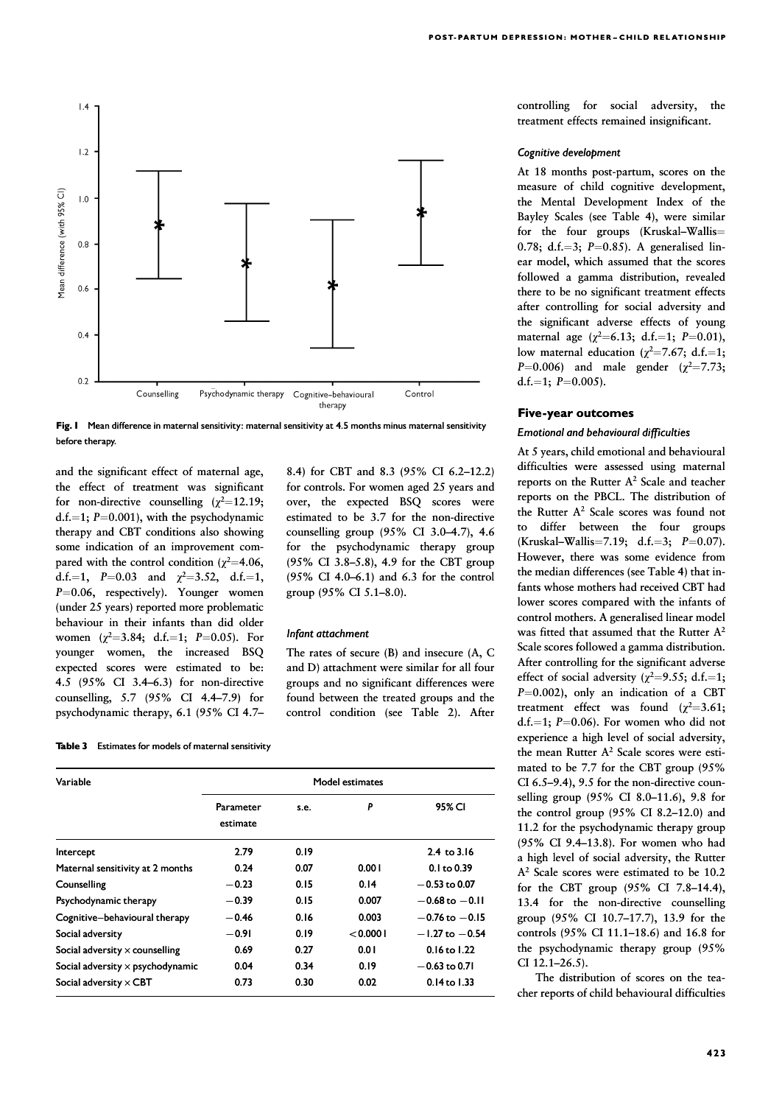

Fig. I Mean difference in maternal sensitivity: maternal sensitivity at 4.5 months minus maternal sensitivity before therapy.

and the significant effect of maternal age, the effect of treatment was significant for non-directive counselling  $(\chi^2=12.19)$ ; d.f.=1;  $P=0.001$ ), with the psychodynamic therapy and CBT conditions also showing some indication of an improvement compared with the control condition ( $\chi^2$ =4.06, d.f.=1, P=0.03 and  $\chi^2$ =3.52, d.f.=1,  $P=0.06$ , respectively). Younger women (under 25 years) reported more problematic behaviour in their infants than did older women  $(\chi^2=3.84; d.f.=1; P=0.05)$ . For younger women, the increased BSQ expected scores were estimated to be: 4.5 (95% CI 3.4–6.3) for non-directive 4.5 for non-directive counselling,  $5.7$  ( $95\%$  CI 4.4–7.9) for psychodynamic therapy, 6.1 (95% CI 4.78.4) for CBT and 8.3 (95% CI 6.2-12.2) for controls. For women aged 25 years and over, the expected BSQ scores were estimated to be 3.7 for the non-directive counselling group (95% CI 3.0-4.7), 4.6 for the psychodynamic therapy group  $(95\% \text{ CI } 3.8-5.8)$ , 4.9 for the CBT group (95% CI 4.0–6.1) and 6.3 for the control group (95% CI 5.1–8.0).

#### Infant attachment

The rates of secure (B) and insecure (A, C and D) attachment were similar for all four groups and no significant differences were found between the treated groups and the control condition (see Table 2). After

Table 3 Estimates for models of maternal sensitivity

| Variable                                | Model estimates       |      |          |                    |  |  |  |
|-----------------------------------------|-----------------------|------|----------|--------------------|--|--|--|
|                                         | Parameter<br>estimate | s.e. | P        | 95% CI             |  |  |  |
| Intercept                               | 2.79                  | 0.19 |          | $2.4$ to $3.16$    |  |  |  |
| Maternal sensitivity at 2 months        | 0.24                  | 0.07 | 0.001    | $0.1$ to $0.39$    |  |  |  |
| Counselling                             | $-0.23$               | 0.15 | 0.14     | $-0.53$ to 0.07    |  |  |  |
| Psychodynamic therapy                   | $-0.39$               | 0.15 | 0.007    | $-0.68$ to $-0.11$ |  |  |  |
| Cognitive-behavioural therapy           | $-0.46$               | 0.16 | 0.003    | $-0.76$ to $-0.15$ |  |  |  |
| Social adversity                        | $-0.91$               | 0.19 | < 0.0001 | $-1.27$ to $-0.54$ |  |  |  |
| Social adversity $\times$ counselling   | 0.69                  | 0.27 | 0.01     | $0.16$ to $1.22$   |  |  |  |
| Social adversity $\times$ psychodynamic | 0.04                  | 0.34 | 0.19     | $-0.63$ to 0.71    |  |  |  |
| Social adversity $\times$ CBT           | 0.73                  | 0.30 | 0.02     | $0.14$ to $1.33$   |  |  |  |

controlling for social adversity, the treatment effects remained insignificant.

#### Cognitive development

At 18 months post-partum, scores on the measure of child cognitive development, the Mental Development Index of the Bayley Scales (see Table 4), were similar for the four groups (Kruskal–Wallis $=$ 0.78; d.f.=3;  $P=0.85$ ). A generalised linear model, which assumed that the scores followed a gamma distribution, revealed there to be no significant treatment effects after controlling for social adversity and the significant adverse effects of young maternal age  $(\chi^2=6.13; d.f.=1; P=0.01)$ , low maternal education ( $\chi^2$ =7.67; d.f.=1;  $P=0.006$ ) and male gender ( $\chi^2=7.73$ ; d.f.=1:  $P=0.005$ ).

#### Five-year outcomes

#### Emotional and behavioural difficulties Emotional

At 5 years, child emotional and behavioural difficulties were assessed using maternal reports on the Rutter A2 Scale and teacher reports on the PBCL. The distribution of the Rutter A<sup>2</sup> Scale scores was found not to differ between the four groups (Kruskal–Wallis=7.19; d.f.=3;  $P=0.07$ ). However, there was some evidence from the median differences (see Table 4) that infants whose mothers had received CBT had lower scores compared with the infants of control mothers. A generalised linear model was fitted that assumed that the Rutter  $A^2$ Scale scores followed a gamma distribution. After controlling for the significant adverse effect of social adversity ( $\chi^2$ =9.55; d.f.=1;  $P=0.002$ ), only an indication of a CBT treatment effect was found  $(\chi^2=3.61;$ d.f.=1;  $P=0.06$ ). For women who did not experience a high level of social adversity, the mean Rutter A<sup>2</sup> Scale scores were estimated to be 7.7 for the CBT group (95% CI 6.5–9.4), 9.5 for the non-directive counselling group (95% CI 8.0–11.6), 9.8 for the control group (95% CI 8.2–12.0) and 11.2 for the psychodynamic therapy group (95% CI 9.4–13.8). For women who had a high level of social adversity, the Rutter A2 Scale scores were estimated to be 10.2 for the CBT group (95% CI 7.8–14.4), 13.4 for the non-directive counselling group (95% CI 10.7–17.7), 13.9 for the controls (95% CI 11.1–18.6) and 16.8 for the psychodynamic therapy group (95% CI 12.1–26.5).

The distribution of scores on the teacher reports of child behavioural difficulties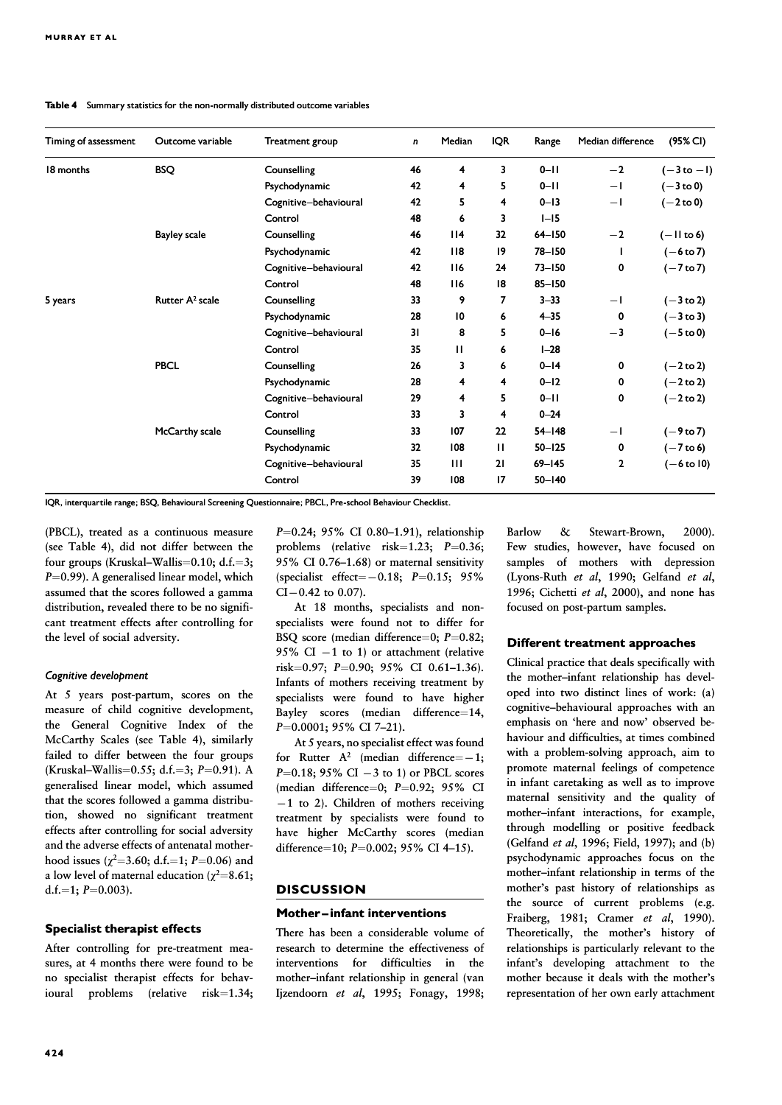## Table 4 Summary statistics for the non-normally distributed outcome variables

| Timing of assessment | Outcome variable            | Treatment group       | $\mathsf{n}$ | Median       | <b>IQR</b>      | Range      | Median difference | $(95\%$ CI)          |
|----------------------|-----------------------------|-----------------------|--------------|--------------|-----------------|------------|-------------------|----------------------|
| 18 months            | <b>BSQ</b>                  | Counselling           | 46           | 4            | 3               | $0 - 11$   | $-2$              | $(-3 to -1)$         |
|                      |                             | Psychodynamic         | 42           | 4            | 5               | $0 - 11$   | $-1$              | $(-3 to 0)$          |
|                      |                             | Cognitive-behavioural | 42           | 5            | 4               | $0 - 13$   | $-1$              | $(-2 \text{ to } 0)$ |
|                      |                             | Control               | 48           | 6            | 3               | $I-I5$     |                   |                      |
|                      | <b>Bayley scale</b>         | Counselling           | 46           | 114          | 32 <sub>2</sub> | $64 - 150$ | $-2$              | $(-$ II to 6)        |
|                      |                             | Psychodynamic         | 42           | 118          | 19              | $78 - 150$ | J.                | $(-6 to 7)$          |
|                      |                             | Cognitive-behavioural | 42           | 116          | 24              | $73 - 150$ | 0                 | $(-7 \text{ to } 7)$ |
|                      |                             | Control               | 48           | 116          | 18              | $85 - 150$ |                   |                      |
| 5 years              | Rutter A <sup>2</sup> scale | Counselling           | 33           | 9            | $\overline{7}$  | $3 - 33$   | $-1$              | $(-3 \text{ to } 2)$ |
|                      |                             | Psychodynamic         | 28           | 10           | 6               | $4 - 35$   | 0                 | $(-3 \text{ to } 3)$ |
|                      |                             | Cognitive-behavioural | 31           | 8            | 5               | $0 - 16$   | $-3$              | $(-5 \text{ to } 0)$ |
|                      |                             | Control               | 35           | $\mathbf{H}$ | 6               | $1 - 28$   |                   |                      |
|                      | <b>PBCL</b>                 | Counselling           | 26           | 3            | 6               | $0 - 14$   | 0                 | $(-2 \text{ to } 2)$ |
|                      |                             | Psychodynamic         | 28           | 4            | 4               | $0 - 12$   | 0                 | $(-2 \text{ to } 2)$ |
|                      |                             | Cognitive-behavioural | 29           | 4            | 5               | $0 - 11$   | 0                 | $(-2 \text{ to } 2)$ |
|                      |                             | Control               | 33           | 3            | $\overline{4}$  | $0 - 24$   |                   |                      |
|                      | McCarthy scale              | Counselling           | 33           | 107          | 22              | $54 - 148$ | $-1$              | $(-9 to 7)$          |
|                      |                             | Psychodynamic         | 32           | 108          | $\mathbf{H}$    | $50 - 125$ | 0                 | $(-7 to 6)$          |
|                      |                             | Cognitive-behavioural | 35           | $\mathbf{H}$ | 21              | $69 - 145$ | $\mathbf{2}$      | (-6 to 10)           |
|                      |                             | Control               | 39           | 108          | 17              | $50 - 140$ |                   |                      |

IQR, interquartile range; BSQ, Behavioural Screening Questionnaire; PBCL, Pre-school Behaviour Checklist.

(PBCL), treated as a continuous measure (see Table 4), did not differ between the four groups (Kruskal–Wallis=0.10; d.f.=3;  $P=0.99$ ). A generalised linear model, which assumed that the scores followed a gamma distribution, revealed there to be no significant treatment effects after controlling for the level of social adversity.

#### Cognitive development

At 5 years post-partum, scores on the measure of child cognitive development, the General Cognitive Index of the McCarthy Scales (see Table 4), similarly failed to differ between the four groups (Kruskal–Wallis=0.55; d.f.=3;  $P=0.91$ ). A generalised linear model, which assumed that the scores followed a gamma distribution, showed no significant treatment effects after controlling for social adversity and the adverse effects of antenatal motherhood issues ( $\chi^2$ =3.60; d.f.=1; P=0.06) and a low level of maternal education ( $\chi^2$ =8.61; d.f.=1;  $P=0.003$ ).

## Specialist therapist effects

After controlling for pre-treatment measures, at 4 months there were found to be no specialist therapist effects for behavioural problems (relative risk=1.34; P=0.24; 95% CI 0.80-1.91), relationship problems (relative risk= $1.23$ ;  $P=0.36$ ; 95% CI 0.76–1.68) or maternal sensitivity (specialist effect= $-0.18$ ; P=0.15; 95%  $CI - 0.42$  to 0.07).

At 18 months, specialists and nonspecialists were found not to differ for BSQ score (median difference=0;  $P=0.82$ ; 95% CI  $-1$  to 1) or attachment (relative risk=0.97; P=0.90; 95% CI 0.61-1.36). Infants of mothers receiving treatment by specialists were found to have higher Bayley scores (median difference=14,  $P=0.0001$ ; 95% CI 7-21).

At 5 years, no specialist effect was found for Rutter  $A^2$  (median difference=-1;  $P=0.18$ ; 95% CI  $-3$  to 1) or PBCL scores (median difference=0;  $P=0.92$ ; 95% CI  $-1$  to 2). Children of mothers receiving treatment by specialists were found to have higher McCarthy scores (median difference=10;  $P=0.002$ ; 95% CI 4-15).

## **DISCUSSION**

## Mother-infant interventions

There has been a considerable volume of research to determine the effectiveness of interventions for difficulties in the mother–infant relationship in general (van Ijzendoorn et al, 1995; Fonagy, 1998; Barlow & Stewart-Brown, 2000). Few studies, however, have focused on samples of mothers with depression (Lyons-Ruth et al, 1990; Gelfand et al, 1996; Cichetti et al, 2000), and none has focused on post-partum samples.

#### Different treatment approaches

Clinical practice that deals specifically with the mother–infant relationship has developed into two distinct lines of work: (a) cognitive–behavioural approaches with an emphasis on 'here and now' observed behaviour and difficulties, at times combined with a problem-solving approach, aim to promote maternal feelings of competence in infant caretaking as well as to improve maternal sensitivity and the quality of mother–infant interactions, for example, through modelling or positive feedback (Gelfand et al, 1996; Field, 1997); and (b) psychodynamic approaches focus on the mother–infant relationship in terms of the mother's past history of relationships as the source of current problems (e.g. Fraiberg, 1981; Cramer et al, 1990). Theoretically, the mother's history of relationships is particularly relevant to the infant's developing attachment to the mother because it deals with the mother's representation of her own early attachment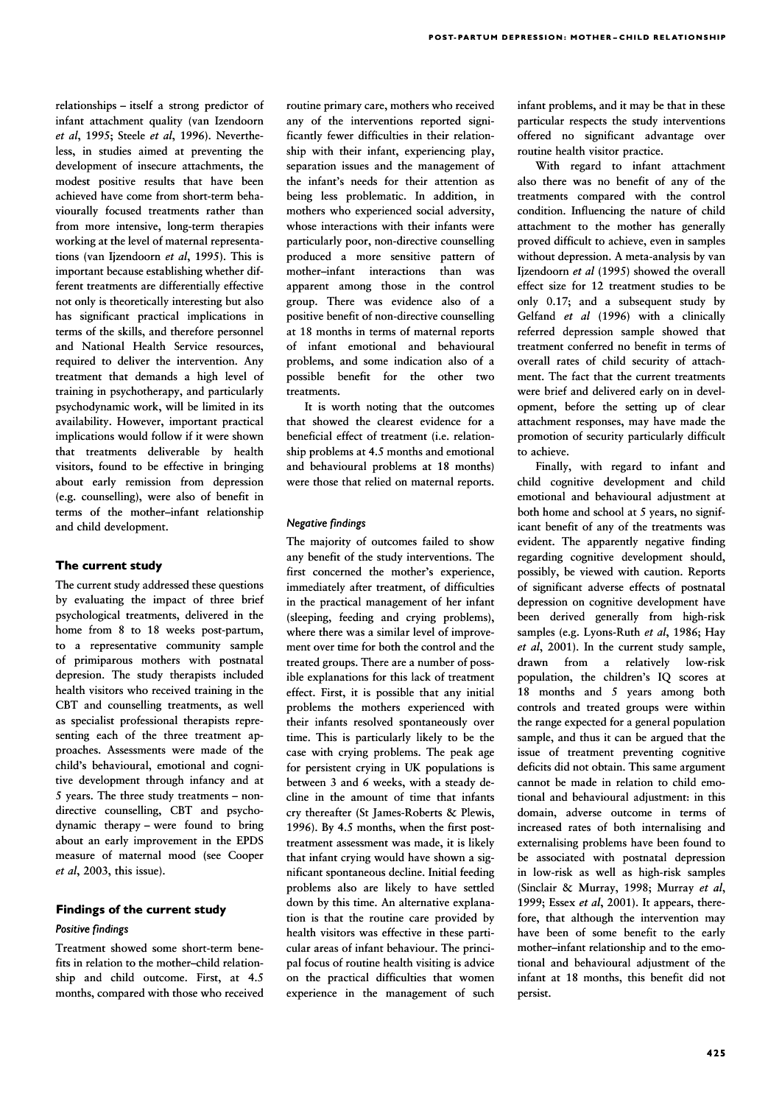relationships – itself a strong predictor of infant attachment quality (van Izendoorn et al, 1995; Steele et al, 1996). Nevertheless, in studies aimed at preventing the development of insecure attachments, the modest positive results that have been achieved have come from short-term behaviourally focused treatments rather than from more intensive, long-term therapies working at the level of maternal representations (van Ijzendoorn et al, 1995). This is important because establishing whether different treatments are differentially effective not only is theoretically interesting but also has significant practical implications in terms of the skills, and therefore personnel and National Health Service resources, required to deliver the intervention. Any treatment that demands a high level of training in psychotherapy, and particularly psychodynamic work, will be limited in its availability. However, important practical implications would follow if it were shown that treatments deliverable by health visitors, found to be effective in bringing about early remission from depression (e.g. counselling), were also of benefit in terms of the mother–infant relationship and child development.

## The current study

The current study addressed these questions by evaluating the impact of three brief psychological treatments, delivered in the home from 8 to 18 weeks post-partum, to a representative community sample of primiparous mothers with postnatal depresion. The study therapists included health visitors who received training in the CBT and counselling treatments, as well as specialist professional therapists representing each of the three treatment approaches. Assessments were made of the child's behavioural, emotional and cognitive development through infancy and at 5 years. The three study treatments – nondirective counselling, CBT and psychodynamic therapy – were found to bring about an early improvement in the EPDS measure of maternal mood (see Cooper et al, 2003, this issue).

## Findings of the current study Positive findings

Treatment showed some short-term benefits in relation to the mother–child relationship and child outcome. First, at 4.5 months, compared with those who received

routine primary care, mothers who received any of the interventions reported significantly fewer difficulties in their relationship with their infant, experiencing play, separation issues and the management of the infant's needs for their attention as being less problematic. In addition, in mothers who experienced social adversity, whose interactions with their infants were particularly poor, non-directive counselling produced a more sensitive pattern of mother–infant interactions than was apparent among those in the control group. There was evidence also of a positive benefit of non-directive counselling at 18 months in terms of maternal reports of infant emotional and behavioural problems, and some indication also of a possible benefit for the other two treatments.

It is worth noting that the outcomes that showed the clearest evidence for a beneficial effect of treatment (i.e. relationship problems at 4.5 months and emotional and behavioural problems at 18 months) were those that relied on maternal reports.

## Negative findings

The majority of outcomes failed to show any benefit of the study interventions. The first concerned the mother's experience, immediately after treatment, of difficulties in the practical management of her infant (sleeping, feeding and crying problems), where there was a similar level of improvement over time for both the control and the treated groups. There are a number of possible explanations for this lack of treatment effect. First, it is possible that any initial problems the mothers experienced with their infants resolved spontaneously over time. This is particularly likely to be the case with crying problems. The peak age for persistent crying in UK populations is between 3 and 6 weeks, with a steady decline in the amount of time that infants cry thereafter (St James-Roberts & Plewis, 1996). By 4.5 months, when the first posttreatment assessment was made, it is likely that infant crying would have shown a significant spontaneous decline. Initial feeding problems also are likely to have settled down by this time. An alternative explanation is that the routine care provided by health visitors was effective in these particular areas of infant behaviour. The principal focus of routine health visiting is advice on the practical difficulties that women experience in the management of such infant problems, and it may be that in these particular respects the study interventions offered no significant advantage over routine health visitor practice.

With regard to infant attachment also there was no benefit of any of the treatments compared with the control condition. Influencing the nature of child attachment to the mother has generally proved difficult to achieve, even in samples without depression. A meta-analysis by van Ijzendoorn et al (1995) showed the overall effect size for 12 treatment studies to be only 0.17; and a subsequent study by Gelfand et al (1996) with a clinically referred depression sample showed that treatment conferred no benefit in terms of overall rates of child security of attachment. The fact that the current treatments were brief and delivered early on in development, before the setting up of clear attachment responses, may have made the promotion of security particularly difficult to achieve.

Finally, with regard to infant and child cognitive development and child emotional and behavioural adjustment at both home and school at 5 years, no significant benefit of any of the treatments was evident. The apparently negative finding regarding cognitive development should, possibly, be viewed with caution. Reports of significant adverse effects of postnatal depression on cognitive development have been derived generally from high-risk samples (e.g. Lyons-Ruth et al, 1986; Hay et al, 2001). In the current study sample, drawn from a relatively low-risk population, the children's IQ scores at 18 months and 5 years among both controls and treated groups were within the range expected for a general population sample, and thus it can be argued that the issue of treatment preventing cognitive deficits did not obtain. This same argument cannot be made in relation to child emotional and behavioural adjustment: in this domain, adverse outcome in terms of increased rates of both internalising and externalising problems have been found to be associated with postnatal depression in low-risk as well as high-risk samples (Sinclair & Murray, 1998; Murray et al, 1999; Essex et al, 2001). It appears, therefore, that although the intervention may have been of some benefit to the early mother-infant relationship and to the emotional and behavioural adjustment of the infant at 18 months, this benefit did not persist.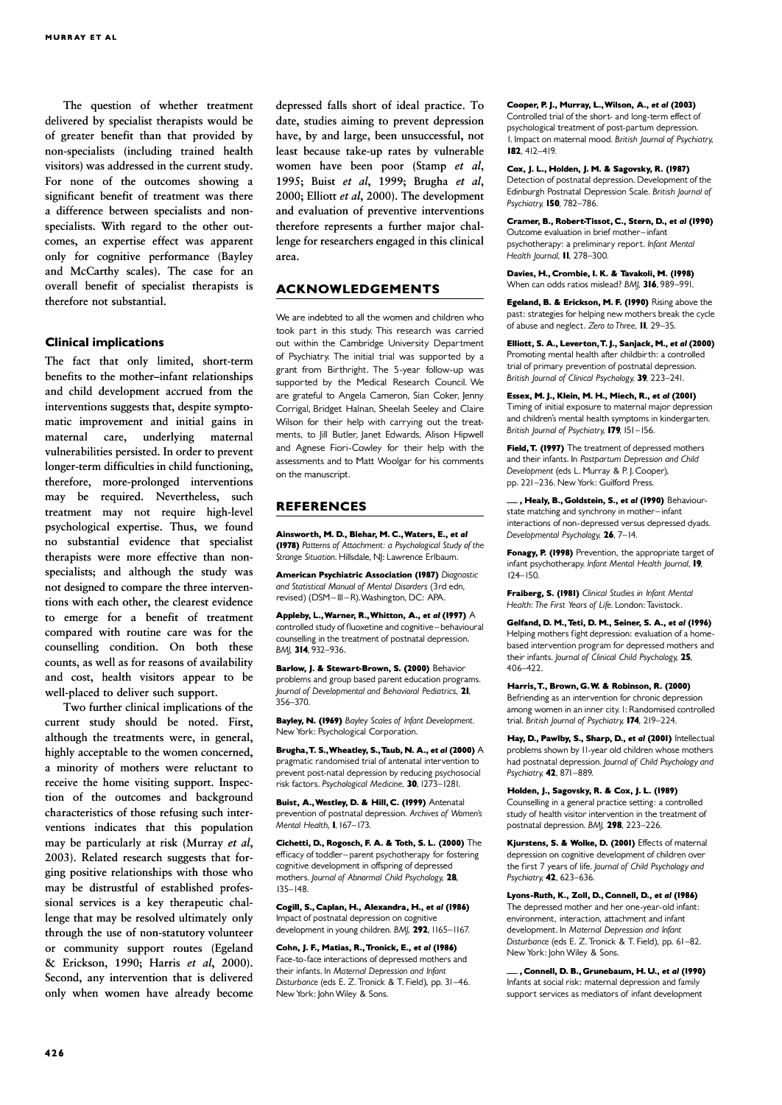The question of whether treatment delivered by specialist therapists would be of greater benefit than that provided by non-specialists (including trained health visitors) was addressed in the current study. For none of the outcomes showing a significant benefit of treatment was there a difference between specialists and nonspecialists. With regard to the other outcomes, an expertise effect was apparent only for cognitive performance (Bayley and McCarthy scales). The case for an overall benefit of specialist therapists is therefore not substantial.

#### Clinical implications

The fact that only limited, short-term benefits to the mother–infant relationships and child development accrued from the interventions suggests that, despite symptomatic improvement and initial gains in maternal care, underlying maternal vulnerabilities persisted. In order to prevent longer-term difficulties in child functioning, therefore, more-prolonged interventions may be required. Nevertheless, such treatment may not require high-level psychological expertise. Thus, we found no substantial evidence that specialist therapists were more effective than nonspecialists; and although the study was not designed to compare the three interventions with each other, the clearest evidence to emerge for a benefit of treatment compared with routine care was for the counselling condition. On both these counts, as well as for reasons of availability and cost, health visitors appear to be well-placed to deliver such support.

Two further clinical implications of the current study should be noted. First, although the treatments were, in general, highly acceptable to the women concerned, a minority of mothers were reluctant to receive the home visiting support. Inspection of the outcomes and background characteristics of those refusing such interventions indicates that this population may be particularly at risk (Murray et al, 2003). Related research suggests that forging positive relationships with those who may be distrustful of established professional services is a key therapeutic challenge that may be resolved ultimately only through the use of non-statutory volunteer or community support routes (Egeland & Erickson, 1990; Harris et al, 2000). Second, any intervention that is delivered only when women have already become depressed falls short of ideal practice. To date, studies aiming to prevent depression have, by and large, been unsuccessful, not least because take-up rates by vulnerable women have been poor (Stamp et al, 1995; Buist et al, 1999; Brugha et al, 2000; Elliott et al, 2000). The development and evaluation of preventive interventions therefore represents a further major challenge for researchers engaged in this clinical area.

## ACKNOWLEDGEMENTS

We are indebted to all the women and children who took part in this study. This research was carried out within the Cambridge University Department of Psychiatry. The initial trial was supported by a grant from Birthright. The 5-year follow-up was supported by the Medical Research Council. We are grateful to Angela Cameron, Sian Coker, Jenny Corrigal, Bridget Halnan, Sheelah Seeley and Claire Wilson for their help with carrying out the treatments, to Jill Butler, Janet Edwards, Alison Hipwell and Agnese Fiori-Cowley for their help with the assessments and to Matt Woolgar for his comments on the manuscript.

#### **REFERENCES**

Ainsworth, M. D., Blehar, M. C., Waters, E., et al (1978) Patterns of Attachment: a Psychological Study of the Strange Situation. Hillsdale, NJ: Lawrence Erlbaum.

**American Psychiatric Association (1987)** Diagnostic and Statistical Manual of Mental Disorders (3rd edn, revised) (DSM-III-R). Washington, DC: APA.

Appleby, L.,Warner, R.,Whitton, A., et al (1997) A controlled study of fluoxetine and cognitive - behavioural counselling in the treatment of postnatal depression. BMI, 314, 932-936.

Barlow, J. & Stewart-Brown, S. (2000) Behavior problems and group based parent education programs. Journal of Developmental and Behavioral Pediatrics, 21,  $356 - 370$ 

Bayley, N. (1969) Bayley Scales of Infant Development. New York: Psychological Corporation.

Brugha, T. S., Wheatley, S., Taub, N. A., et al (2000)  $\mathsf{A}$ pragmatic randomised trial of antenatal intervention to prevent post-natal depression by reducing psychosocial risk factors. Psychological Medicine, 30, 1273-1281.

Buist, A., Westley, D. & Hill, C. (1999) Antenatal prevention of postnatal depression. Archives of Women's Mental Health, I, 167-173.

Cichetti, D., Rogosch, F. A. & Toth, S. L. (2000) The efficacy of toddler-parent psychotherapy for fostering cognitive development in offspring of depressed mothers. Journal of Abnormal Child Psychology, 28, 135^148.

Cogill, S., Caplan, H., Alexandra, H., et al (1986) Impact of postnatal depression on cognitive development in young children. BMJ, 292, 1165-1167.

Cohn, J. F., Matias, R., Tronick, E., et al (1986) Face-to-face interactions of depressed mothers and their infants. In Maternal Depression and Infant Disturbance (eds E. Z. Tronick & T. Field), pp. 31-46. New York: John Wiley & Sons.

#### Cooper, P. J., Murray, L., Wilson, A., et al (2003)

Controlled trial of the short- and long-term effect of psychological treatment of post-partum depression. .<br>1. Impact on maternal mood. British Journal of Psychiatry, **182, 412-419.** 

Cox, J. L., Holden, J. M. & Sagovsky, R. (1987) Detection of postnatal depression. Development of the Edinburgh Postnatal Depression Scale. British Journal of Psychiatry, 150, 782-786.

#### Cramer, B., Robert-Tissot, C., Stern, D., et al (1990)

Outcome evaluation in brief mother-infant psychotherapy: a preliminary report. Infant Mental Health Journal, II, 278-300.

Davies, H., Crombie, I. K. & Tavakoli, M. (1998) When can odds ratios mislead? BMJ, 316, 989-991.

Egeland, B. & Erickson, M. F. (1990) Rising above the past: strategies for helping new mothers break the cycle of abuse and neglect. Zero to Three, II, 29-35.

Elliott, S. A., Leverton,T. J., Sanjack, M., et al (2000) Promoting mental health after childbirth: a controlled trial of primary prevention of postnatal depression. British Journal of Clinical Psychology, 39, 223-241.

Essex, M. J., Klein, M. H., Miech, R., et al (2001) Timing of initial exposure to maternal major depression and children's mental health symptoms in kindergarten. British Journal of Psychiatry, 179, 151-156.

Field, T. (1997) The treatment of depressed mothers and their infants. In Postpartum Depression and Child Development (eds L. Murray & P. J. Cooper), pp. 221^236. New York: Guilford Press. and their infants. In *Postpartum Depression and Child*<br>Development (eds L. Murray & P. J. Cooper),<br>pp. 221–236. New York: Guilford Press.<br>**....., Healy, B., Goldstein, S., et al (1990)** Behaviour-<br>state matching and synch

interactions of non-depressed versus depressed dyads. Developmental Psychology, 26, 7-14.

Fonagy, P. (1998) Prevention, the appropriate target of infant psychotherapy. Infant Mental Health Journal, 19,  $124 - 150$ 

Fraiberg, S. (1981) Clinical Studies in Infant Mental Health: The First Years of Life. London: Tavistock.

Gelfand, D. M., Teti, D. M., Seiner, S. A., et al (1996) Helping mothers fight depression: evaluation of a homebased intervention program for depressed mothers and their infants. Journal of Clinical Child Psychology, 25, 406-422

Harris, T., Brown, G.W. & Robinson, R. (2000) Befriending as an intervention for chronic depression among women in an inner city. I: Randomised controlled trial. British Journal of Psychiatry, 174, 219-224.

Hay, D., Pawlby, S., Sharp, D., et al (2001) Intellectual problems shown by 11-year old children whose mothers had postnatal depression. Journal of Child Psychology and Psychiatry, **42**, 871-889.

Holden, J., Sagovsky, R. & Cox, J. L. (1989) Counselling in a general practice setting: a controlled study of health visitor intervention in the treatment of postnatal depression. BMJ, 298, 223-226.

Kjurstens, S. & Wolke, D. (2001) Effects of maternal depression on cognitive development of children over the first 7 years of life. Journal of Child Psychology and Psychiatry, 42, 623-636.

Lyons-Ruth, K., Zoll, D., Connell, D., et al (1986) The depressed mother and her one-year-old infant: environment, interaction, attachment and infant development. In Maternal Depression and Infant Disturbance (eds E. Z. Tronick & T. Field), pp. 61-82. New York: John Wiley & Sons. development. In *Maternal Depression and Infant*<br>Disturbance (eds E. Z. Tronick & T. Field), pp. 61–82.<br>New York: John Wiley & Sons.<br>**......., Connell, D. B., Grunebaum, H. U., et al (1990)**<br>Infants at social risk: materna

support services as mediators of infant development